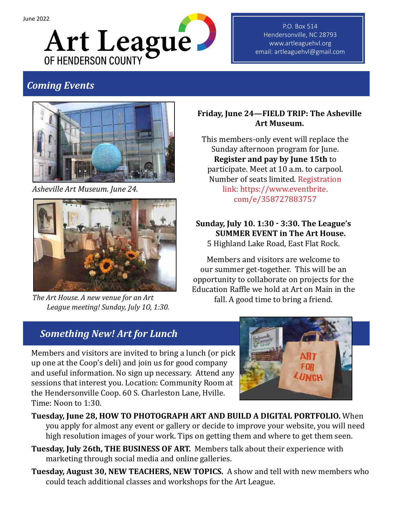

P.O. Box 514 Hendersonville, NC 28793 www.artleaguehvl.org email: artleaguehvl@gmail.com

# *Coming Events*



*Asheville Art Museum. June 24.*



*The Art House. A new venue for an Art League meeting! Sunday, July 1O, 1:30.*

### **Friday, June 24—FIELD TRIP: The Asheville Art Museum.**

This members-only event will replace the Sunday afternoon program for June. **Register and pay by June 15th** to participate. Meet at 10 a.m. to carpool. Number of seats limited. Registration link: https://www.eventbrite. com/e/358727883757

**Sunday, July 10. 1:30 - 3:30. The League's SUMMER EVENT in The Art House.**  5 Highland Lake Road, East Flat Rock.

Members and visitors are welcome to our summer get-together. This will be an opportunity to collaborate on projects for the Education Raffle we hold at Art on Main in the fall. A good time to bring a friend.

# *Something New! Art for Lunch*

Members and visitors are invited to bring a lunch (or pick up one at the Coop's deli) and join us for good company and useful information. No sign up necessary. Attend any sessions that interest you. Location: Community Room at the Hendersonville Coop. 60 S. Charleston Lane, Hville. Time: Noon to 1:30.



- **Tuesday, June 28, HOW TO PHOTOGRAPH ART AND BUILD A DIGITAL PORTFOLIO.** When you apply for almost any event or gallery or decide to improve your website, you will need high resolution images of your work. Tips on getting them and where to get them seen.
- **Tuesday, July 26th, THE BUSINESS OF ART.** Members talk about their experience with marketing through social media and online galleries.
- **Tuesday, August 30, NEW TEACHERS, NEW TOPICS.** A show and tell with new members who could teach additional classes and workshops for the Art League.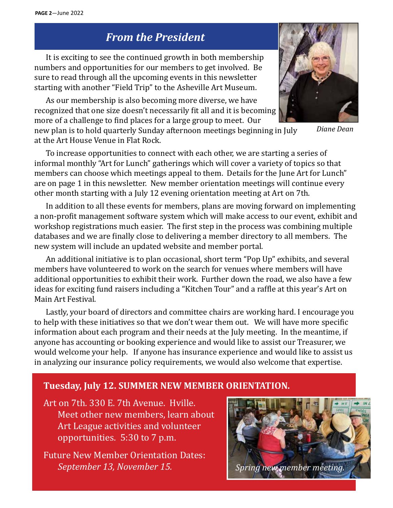# *From the President*

It is exciting to see the continued growth in both membership numbers and opportunities for our members to get involved. Be sure to read through all the upcoming events in this newsletter starting with another "Field Trip" to the Asheville Art Museum.

As our membership is also becoming more diverse, we have recognized that one size doesn't necessarily fit all and it is becoming more of a challenge to find places for a large group to meet. Our

new plan is to hold quarterly Sunday afternoon meetings beginning in July at the Art House Venue in Flat Rock.

To increase opportunities to connect with each other, we are starting a series of informal monthly "Art for Lunch" gatherings which will cover a variety of topics so that members can choose which meetings appeal to them. Details for the June Art for Lunch" are on page 1 in this newsletter. New member orientation meetings will continue every other month starting with a July 12 evening orientation meeting at Art on 7th.

In addition to all these events for members, plans are moving forward on implementing a non-profit management software system which will make access to our event, exhibit and workshop registrations much easier. The first step in the process was combining multiple databases and we are finally close to delivering a member directory to all members. The new system will include an updated website and member portal.

An additional initiative is to plan occasional, short term "Pop Up" exhibits, and several members have volunteered to work on the search for venues where members will have additional opportunities to exhibit their work. Further down the road, we also have a few ideas for exciting fund raisers including a "Kitchen Tour" and a raffle at this year's Art on Main Art Festival.

Lastly, your board of directors and committee chairs are working hard. I encourage you to help with these initiatives so that we don't wear them out. We will have more specific information about each program and their needs at the July meeting. In the meantime, if anyone has accounting or booking experience and would like to assist our Treasurer, we would welcome your help. If anyone has insurance experience and would like to assist us in analyzing our insurance policy requirements, we would also welcome that expertise.

### **Tuesday, July 12. SUMMER NEW MEMBER ORIENTATION.**

Art on 7th. 330 E. 7th Avenue. Hville. Meet other new members, learn about Art League activities and volunteer opportunities. 5:30 to 7 p.m.

Future New Member Orientation Dates: *September 13, November 15. Spring new member meeting.*



*Diane Dean*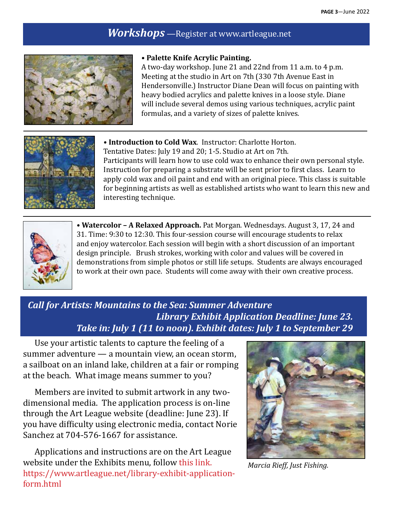## *Workshops* —Register at www.artleague.net



#### **• Palette Knife Acrylic Painting.**

A two-day workshop. June 21 and 22nd from 11 a.m. to 4 p.m. Meeting at the studio in Art on 7th (330 7th Avenue East in Hendersonville.) Instructor Diane Dean will focus on painting with heavy bodied acrylics and palette knives in a loose style. Diane will include several demos using various techniques, acrylic paint formulas, and a variety of sizes of palette knives.



**• Introduction to Cold Wax**. Instructor: Charlotte Horton. Tentative Dates: July 19 and 20; 1-5. Studio at Art on 7th. Participants will learn how to use cold wax to enhance their own personal style. Instruction for preparing a substrate will be sent prior to first class. Learn to apply cold wax and oil paint and end with an original piece. This class is suitable for beginning artists as well as established artists who want to learn this new and interesting technique.



**• Watercolor – A Relaxed Approach.** Pat Morgan. Wednesdays. August 3, 17, 24 and 31. Time: 9:30 to 12:30. This four-session course will encourage students to relax and enjoy watercolor. Each session will begin with a short discussion of an important design principle. Brush strokes, working with color and values will be covered in demonstrations from simple photos or still life setups. Students are always encouraged to work at their own pace. Students will come away with their own creative process.

## *Call for Artists: Mountains to the Sea: Summer Adventure Library Exhibit Application Deadline: June 23. Take in: July 1 (11 to noon). Exhibit dates: July 1 to September 29*

Use your artistic talents to capture the feeling of a summer adventure — a mountain view, an ocean storm, a sailboat on an inland lake, children at a fair or romping at the beach. What image means summer to you?

Members are invited to submit artwork in any twodimensional media. The application process is on-line through the Art League website (deadline: June 23). If you have difficulty using electronic media, contact Norie Sanchez at 704-576-1667 for assistance.

Applications and instructions are on the Art League website under the Exhibits menu, follow this link. https://www.artleague.net/library-exhibit-applicationform.html



*Marcia Rieff, Just Fishing.*